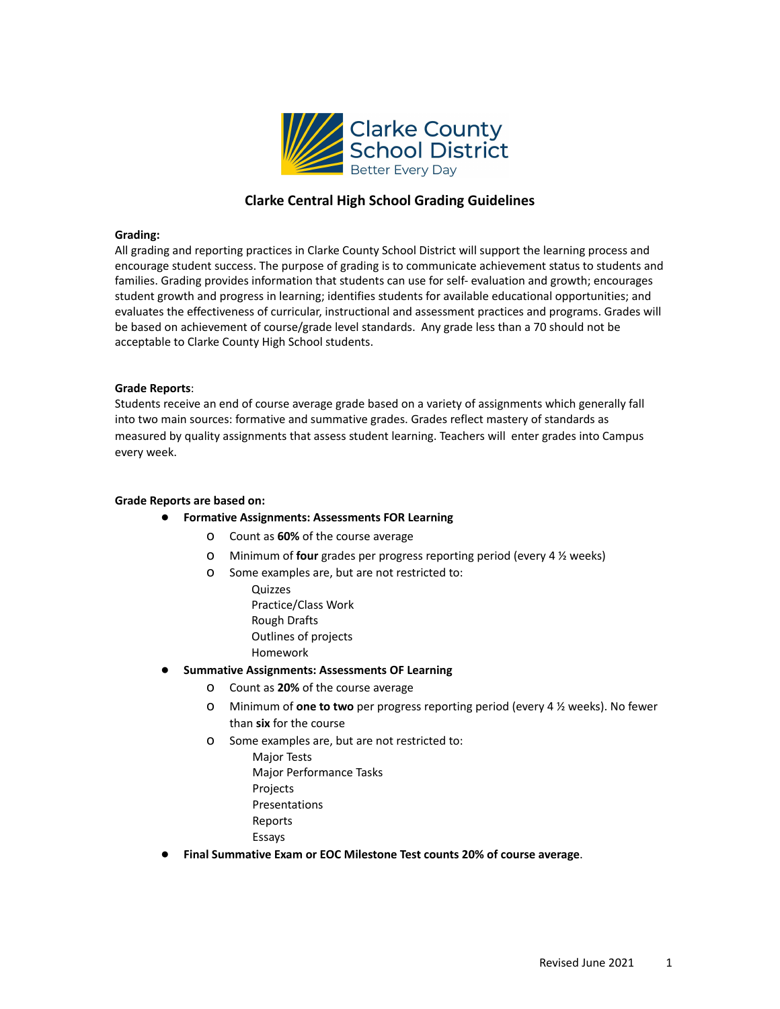

# **Clarke Central High School Grading Guidelines**

### **Grading:**

All grading and reporting practices in Clarke County School District will support the learning process and encourage student success. The purpose of grading is to communicate achievement status to students and families. Grading provides information that students can use for self- evaluation and growth; encourages student growth and progress in learning; identifies students for available educational opportunities; and evaluates the effectiveness of curricular, instructional and assessment practices and programs. Grades will be based on achievement of course/grade level standards. Any grade less than a 70 should not be acceptable to Clarke County High School students.

## **Grade Reports**:

Students receive an end of course average grade based on a variety of assignments which generally fall into two main sources: formative and summative grades. Grades reflect mastery of standards as measured by quality assignments that assess student learning. Teachers will enter grades into Campus every week.

## **Grade Reports are based on:**

- **Formative Assignments: Assessments FOR Learning**
	- o Count as **60%** of the course average
	- o Minimum of **four** grades per progress reporting period (every 4 ½ weeks)
	- o Some examples are, but are not restricted to:
		- Quizzes Practice/Class Work Rough Drafts Outlines of projects Homework
	- **Summative Assignments: Assessments OF Learning**
		- o Count as **20%** of the course average
		- o Minimum of **one to two** per progress reporting period (every 4 ½ weeks). No fewer than **six** for the course
		- o Some examples are, but are not restricted to:
			- Major Tests
			- Major Performance Tasks
			- Projects
			- Presentations
			- Reports
			- Essays
- **Final Summative Exam or EOC Milestone Test counts 20% of course average**.